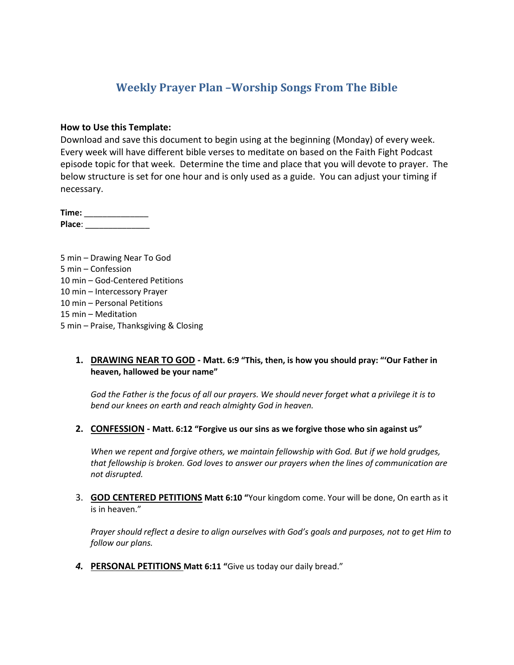# **Weekly Prayer Plan –Worship Songs From The Bible**

## **How to Use this Template:**

Download and save this document to begin using at the beginning (Monday) of every week. Every week will have different bible verses to meditate on based on the Faith Fight Podcast episode topic for that week. Determine the time and place that you will devote to prayer. The below structure is set for one hour and is only used as a guide. You can adjust your timing if necessary.

**Time:** \_\_\_\_\_\_\_\_\_\_\_\_\_\_ **Place**: \_\_\_\_\_\_\_\_\_\_\_\_\_\_

5 min – Drawing Near To God 5 min – Confession 10 min – God-Centered Petitions 10 min – Intercessory Prayer 10 min – Personal Petitions 15 min – Meditation 5 min – Praise, Thanksgiving & Closing

# **1. DRAWING NEAR TO GOD - Matt. 6:9 "This, then, is how you should pray: "'Our Father in heaven, hallowed be your name"**

*God the Father is the focus of all our prayers. We should never forget what a privilege it is to bend our knees on earth and reach almighty God in heaven.*

**2. CONFESSION - Matt. 6:12 "Forgive us our sins as we forgive those who sin against us"**

*When we repent and forgive others, we maintain fellowship with God. But if we hold grudges, that fellowship is broken. God loves to answer our prayers when the lines of communication are not disrupted.*

3. **GOD CENTERED PETITIONS Matt 6:10 "**Your kingdom come. Your will be done, On earth as it is in heaven."

*Prayer should reflect a desire to align ourselves with God's goals and purposes, not to get Him to follow our plans.*

*4.* **PERSONAL PETITIONS Matt 6:11 "**Give us today our daily bread."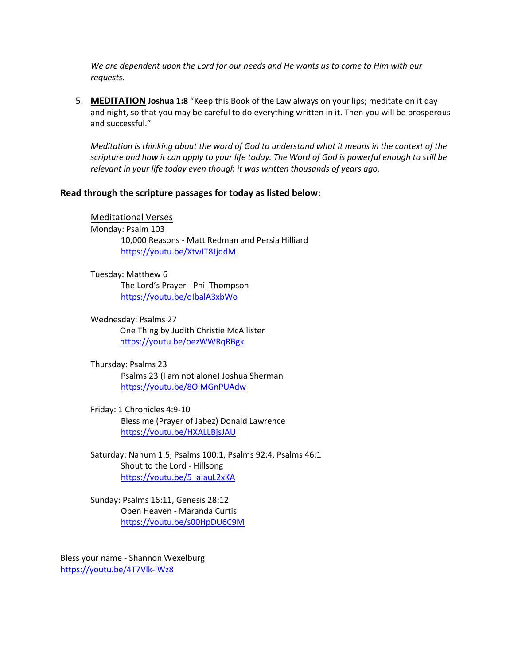*We are dependent upon the Lord for our needs and He wants us to come to Him with our requests.*

5. **MEDITATION Joshua 1:8** "Keep this Book of the Law always on your lips; meditate on it day and night, so that you may be careful to do everything written in it. Then you will be prosperous and successful."

*Meditation is thinking about the word of God to understand what it means in the context of the scripture and how it can apply to your life today. The Word of God is powerful enough to still be relevant in your life today even though it was written thousands of years ago.*

### **Read through the scripture passages for today as listed below:**

#### Meditational Verses

Monday: Psalm 103 10,000 Reasons - Matt Redman and Persia Hilliard <https://youtu.be/XtwIT8JjddM>

Tuesday: Matthew 6 The Lord's Prayer - Phil Thompson <https://youtu.be/oIbalA3xbWo>

Wednesday: Psalms 27 One Thing by Judith Christie McAllister <https://youtu.be/oezWWRqRBgk>

Thursday: Psalms 23 Psalms 23 (I am not alone) Joshua Sherman <https://youtu.be/8OlMGnPUAdw>

- Friday: 1 Chronicles 4:9-10 Bless me (Prayer of Jabez) Donald Lawrence <https://youtu.be/HXALLBjsJAU>
- Saturday: Nahum 1:5, Psalms 100:1, Psalms 92:4, Psalms 46:1 Shout to the Lord - Hillsong [https://youtu.be/5\\_aIauL2xKA](https://youtu.be/5_aIauL2xKA)

Sunday: Psalms 16:11, Genesis 28:12 Open Heaven - Maranda Curtis <https://youtu.be/s00HpDU6C9M>

Bless your name - Shannon Wexelburg <https://youtu.be/4T7Vlk-lWz8>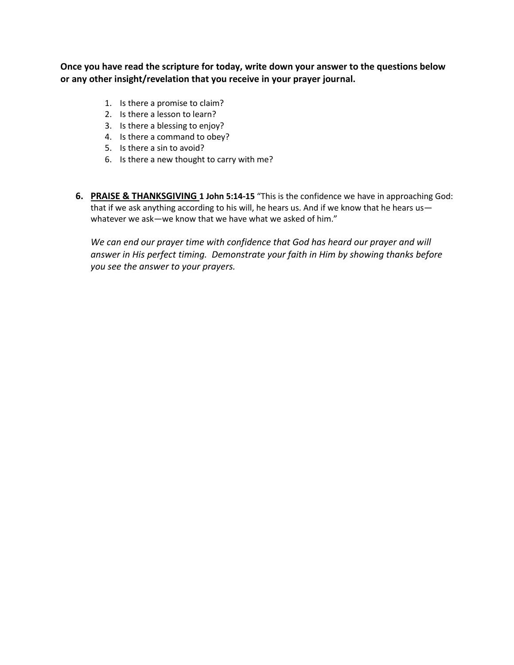**Once you have read the scripture for today, write down your answer to the questions below or any other insight/revelation that you receive in your prayer journal.** 

- 1. Is there a promise to claim?
- 2. Is there a lesson to learn?
- 3. Is there a blessing to enjoy?
- 4. Is there a command to obey?
- 5. Is there a sin to avoid?
- 6. Is there a new thought to carry with me?
- **6. PRAISE & THANKSGIVING 1 John 5:14-15** "This is the confidence we have in approaching God: that if we ask anything according to his will, he hears us. And if we know that he hears uswhatever we ask—we know that we have what we asked of him."

*We can end our prayer time with confidence that God has heard our prayer and will answer in His perfect timing. Demonstrate your faith in Him by showing thanks before you see the answer to your prayers.*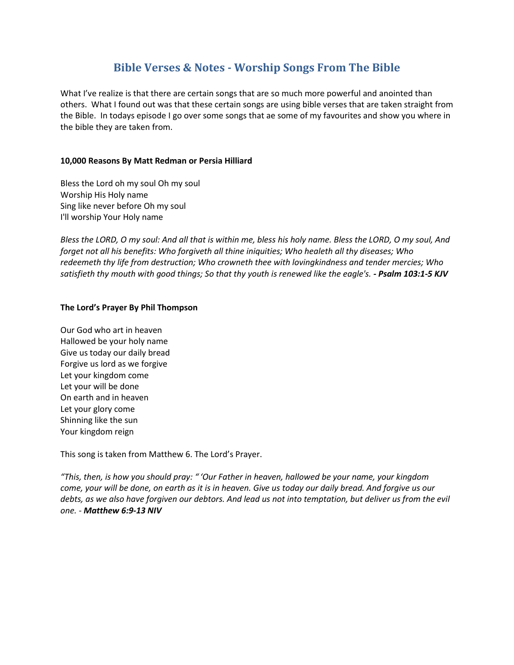# **Bible Verses & Notes - Worship Songs From The Bible**

What I've realize is that there are certain songs that are so much more powerful and anointed than others. What I found out was that these certain songs are using bible verses that are taken straight from the Bible. In todays episode I go over some songs that ae some of my favourites and show you where in the bible they are taken from.

## **10,000 Reasons By Matt Redman or Persia Hilliard**

Bless the Lord oh my soul Oh my soul Worship His Holy name Sing like never before Oh my soul I'll worship Your Holy name

*Bless the LORD, O my soul: And all that is within me, bless his holy name. Bless the LORD, O my soul, And forget not all his benefits: Who forgiveth all thine iniquities; Who healeth all thy diseases; Who redeemeth thy life from destruction; Who crowneth thee with lovingkindness and tender mercies; Who satisfieth thy mouth with good things; So that thy youth is renewed like the eagle's. - Psalm 103:1-5 KJV*

## **The Lord's Prayer By Phil Thompson**

Our God who art in heaven Hallowed be your holy name Give us today our daily bread Forgive us lord as we forgive Let your kingdom come Let your will be done On earth and in heaven Let your glory come Shinning like the sun Your kingdom reign

This song is taken from Matthew 6. The Lord's Prayer.

*"This, then, is how you should pray: " 'Our Father in heaven, hallowed be your name, your kingdom come, your will be done, on earth as it is in heaven. Give us today our daily bread. And forgive us our debts, as we also have forgiven our debtors. And lead us not into temptation, but deliver us from the evil one. - Matthew 6:9-13 NIV*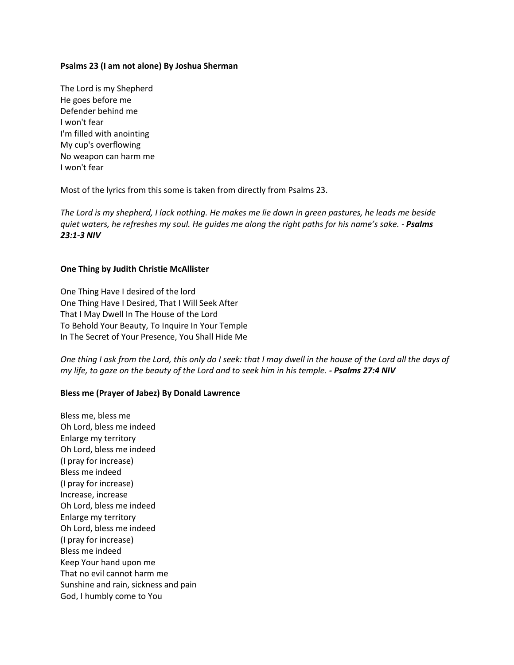### **Psalms 23 (I am not alone) By Joshua Sherman**

The Lord is my Shepherd He goes before me Defender behind me I won't fear I'm filled with anointing My cup's overflowing No weapon can harm me I won't fear

Most of the lyrics from this some is taken from directly from Psalms 23.

*The Lord is my shepherd, I lack nothing. He makes me lie down in green pastures, he leads me beside quiet waters, he refreshes my soul. He guides me along the right paths for his name's sake. - Psalms 23:1-3 NIV*

### **One Thing by Judith Christie McAllister**

One Thing Have I desired of the lord One Thing Have I Desired, That I Will Seek After That I May Dwell In The House of the Lord To Behold Your Beauty, To Inquire In Your Temple In The Secret of Your Presence, You Shall Hide Me

*One thing I ask from the Lord, this only do I seek: that I may dwell in the house of the Lord all the days of my life, to gaze on the beauty of the Lord and to seek him in his temple. - Psalms 27:4 NIV*

## **Bless me (Prayer of Jabez) By Donald Lawrence**

Bless me, bless me Oh Lord, bless me indeed Enlarge my territory Oh Lord, bless me indeed (I pray for increase) Bless me indeed (I pray for increase) Increase, increase Oh Lord, bless me indeed Enlarge my territory Oh Lord, bless me indeed (I pray for increase) Bless me indeed Keep Your hand upon me That no evil cannot harm me Sunshine and rain, sickness and pain God, I humbly come to You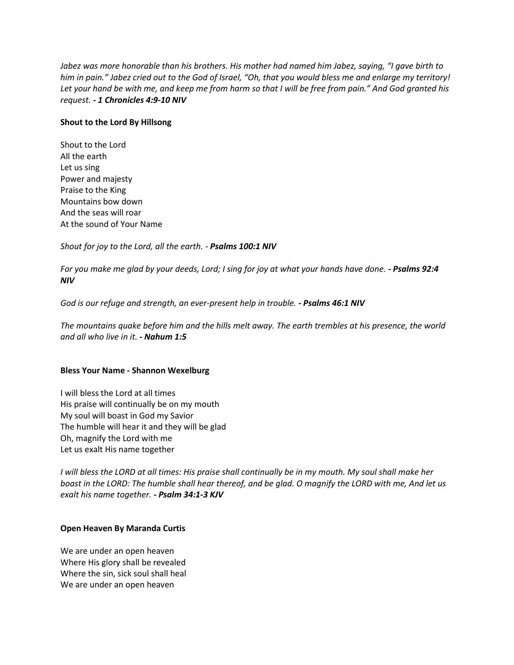*Jabez was more honorable than his brothers. His mother had named him Jabez, saying, "I gave birth to him in pain." Jabez cried out to the God of Israel, "Oh, that you would bless me and enlarge my territory! Let your hand be with me, and keep me from harm so that I will be free from pain." And God granted his request. - 1 Chronicles 4:9-10 NIV*

### **Shout to the Lord By Hillsong**

Shout to the Lord All the earth Let us sing Power and majesty Praise to the King Mountains bow down And the seas will roar At the sound of Your Name

### *Shout for joy to the Lord, all the earth. - Psalms 100:1 NIV*

*For you make me glad by your deeds, Lord; I sing for joy at what your hands have done. - Psalms 92:4 NIV*

*God is our refuge and strength, an ever-present help in trouble. - Psalms 46:1 NIV*

*The mountains quake before him and the hills melt away. The earth trembles at his presence, the world and all who live in it. - Nahum 1:5*

#### **Bless Your Name - Shannon Wexelburg**

I will bless the Lord at all times His praise will continually be on my mouth My soul will boast in God my Savior The humble will hear it and they will be glad Oh, magnify the Lord with me Let us exalt His name together

*I will bless the LORD at all times: His praise shall continually be in my mouth. My soul shall make her boast in the LORD: The humble shall hear thereof, and be glad. O magnify the LORD with me, And let us exalt his name together. - Psalm 34:1-3 KJV*

#### **Open Heaven By Maranda Curtis**

We are under an open heaven Where His glory shall be revealed Where the sin, sick soul shall heal We are under an open heaven